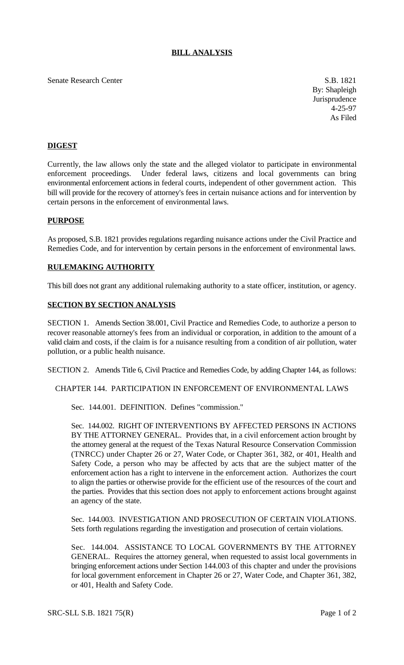# **BILL ANALYSIS**

### Senate Research Center S.B. 1821

By: Shapleigh Jurisprudence 4-25-97 As Filed

# **DIGEST**

Currently, the law allows only the state and the alleged violator to participate in environmental enforcement proceedings. Under federal laws, citizens and local governments can bring environmental enforcement actions in federal courts, independent of other government action. This bill will provide for the recovery of attorney's fees in certain nuisance actions and for intervention by certain persons in the enforcement of environmental laws.

### **PURPOSE**

As proposed, S.B. 1821 provides regulations regarding nuisance actions under the Civil Practice and Remedies Code, and for intervention by certain persons in the enforcement of environmental laws.

#### **RULEMAKING AUTHORITY**

This bill does not grant any additional rulemaking authority to a state officer, institution, or agency.

# **SECTION BY SECTION ANALYSIS**

SECTION 1. Amends Section 38.001, Civil Practice and Remedies Code, to authorize a person to recover reasonable attorney's fees from an individual or corporation, in addition to the amount of a valid claim and costs, if the claim is for a nuisance resulting from a condition of air pollution, water pollution, or a public health nuisance.

SECTION 2. Amends Title 6, Civil Practice and Remedies Code, by adding Chapter 144, as follows:

CHAPTER 144. PARTICIPATION IN ENFORCEMENT OF ENVIRONMENTAL LAWS

Sec. 144.001. DEFINITION. Defines "commission."

Sec. 144.002. RIGHT OF INTERVENTIONS BY AFFECTED PERSONS IN ACTIONS BY THE ATTORNEY GENERAL. Provides that, in a civil enforcement action brought by the attorney general at the request of the Texas Natural Resource Conservation Commission (TNRCC) under Chapter 26 or 27, Water Code, or Chapter 361, 382, or 401, Health and Safety Code, a person who may be affected by acts that are the subject matter of the enforcement action has a right to intervene in the enforcement action. Authorizes the court to align the parties or otherwise provide for the efficient use of the resources of the court and the parties. Provides that this section does not apply to enforcement actions brought against an agency of the state.

Sec. 144.003. INVESTIGATION AND PROSECUTION OF CERTAIN VIOLATIONS. Sets forth regulations regarding the investigation and prosecution of certain violations.

Sec. 144.004. ASSISTANCE TO LOCAL GOVERNMENTS BY THE ATTORNEY GENERAL. Requires the attorney general, when requested to assist local governments in bringing enforcement actions under Section 144.003 of this chapter and under the provisions for local government enforcement in Chapter 26 or 27, Water Code, and Chapter 361, 382, or 401, Health and Safety Code.